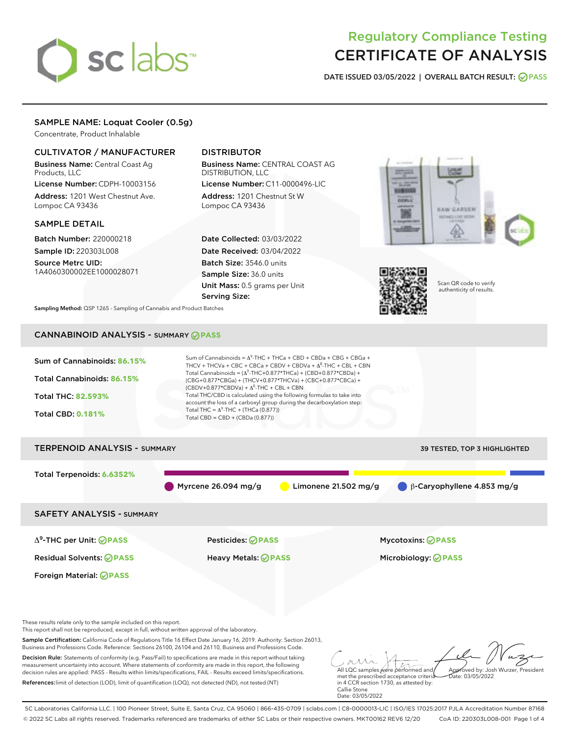# sclabs<sup>\*</sup>

## Regulatory Compliance Testing CERTIFICATE OF ANALYSIS

DATE ISSUED 03/05/2022 | OVERALL BATCH RESULT: @ PASS

#### SAMPLE NAME: Loquat Cooler (0.5g)

Concentrate, Product Inhalable

#### CULTIVATOR / MANUFACTURER

Business Name: Central Coast Ag Products, LLC

License Number: CDPH-10003156 Address: 1201 West Chestnut Ave. Lompoc CA 93436

#### SAMPLE DETAIL

Batch Number: 220000218 Sample ID: 220303L008

Source Metrc UID: 1A4060300002EE1000028071

#### DISTRIBUTOR

Business Name: CENTRAL COAST AG DISTRIBUTION, LLC License Number: C11-0000496-LIC

Address: 1201 Chestnut St W Lompoc CA 93436

Date Collected: 03/03/2022 Date Received: 03/04/2022 Batch Size: 3546.0 units Sample Size: 36.0 units Unit Mass: 0.5 grams per Unit Serving Size:





Scan QR code to verify authenticity of results.

Sampling Method: QSP 1265 - Sampling of Cannabis and Product Batches

### CANNABINOID ANALYSIS - SUMMARY **PASS**



SC Laboratories California LLC. | 100 Pioneer Street, Suite E, Santa Cruz, CA 95060 | 866-435-0709 | sclabs.com | C8-0000013-LIC | ISO/IES 17025:2017 PJLA Accreditation Number 87168 © 2022 SC Labs all rights reserved. Trademarks referenced are trademarks of either SC Labs or their respective owners. MKT00162 REV6 12/20 CoA ID: 220303L008-001 Page 1 of 4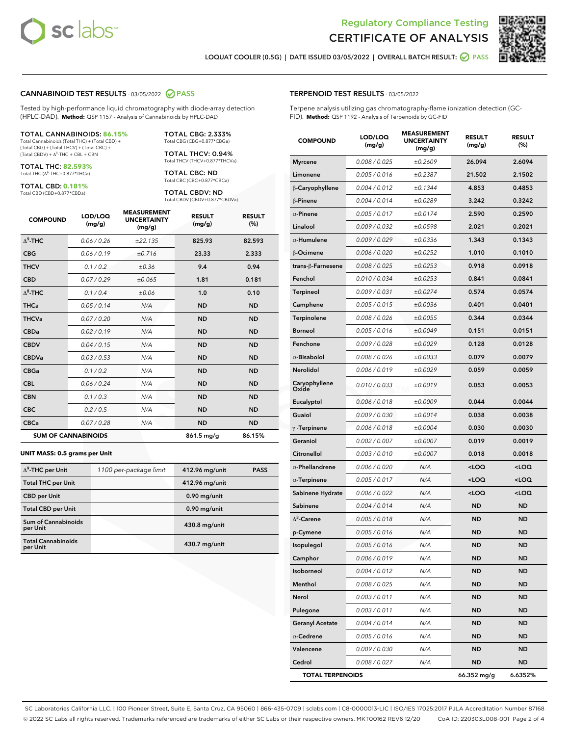



LOQUAT COOLER (0.5G) | DATE ISSUED 03/05/2022 | OVERALL BATCH RESULT: **@ PASS** 

#### CANNABINOID TEST RESULTS - 03/05/2022 2 PASS

Tested by high-performance liquid chromatography with diode-array detection (HPLC-DAD). **Method:** QSP 1157 - Analysis of Cannabinoids by HPLC-DAD

#### TOTAL CANNABINOIDS: **86.15%** Total Cannabinoids (Total THC) + (Total CBD) +

(Total CBG) + (Total THCV) + (Total CBC) +  $(Total$  CBDV) +  $\Delta$ <sup>8</sup>-THC + CBL + CBN

TOTAL THC: **82.593%** Total THC (Δ<sup>9</sup> -THC+0.877\*THCa)

TOTAL CBD: **0.181%**

Total CBD (CBD+0.877\*CBDa)

TOTAL CBG: 2.333% Total CBG (CBG+0.877\*CBGa)

TOTAL THCV: 0.94% Total THCV (THCV+0.877\*THCVa)

TOTAL CBC: ND Total CBC (CBC+0.877\*CBCa)

TOTAL CBDV: ND Total CBDV (CBDV+0.877\*CBDVa)

| <b>COMPOUND</b>  | LOD/LOQ<br>(mg/g)          | <b>MEASUREMENT</b><br><b>UNCERTAINTY</b><br>(mg/g) | <b>RESULT</b><br>(mg/g) | <b>RESULT</b><br>(%) |
|------------------|----------------------------|----------------------------------------------------|-------------------------|----------------------|
| $\Lambda^9$ -THC | 0.06 / 0.26                | ±22.135                                            | 825.93                  | 82.593               |
| <b>CBG</b>       | 0.06/0.19                  | ±0.716                                             | 23.33                   | 2.333                |
| <b>THCV</b>      | 0.1 / 0.2                  | ±0.36                                              | 9.4                     | 0.94                 |
| <b>CBD</b>       | 0.07/0.29                  | ±0.065                                             | 1.81                    | 0.181                |
| $\Delta^8$ -THC  | 0.1 / 0.4                  | ±0.06                                              | 1.0                     | 0.10                 |
| <b>THCa</b>      | 0.05 / 0.14                | N/A                                                | <b>ND</b>               | <b>ND</b>            |
| <b>THCVa</b>     | 0.07/0.20                  | N/A                                                | <b>ND</b>               | <b>ND</b>            |
| <b>CBDa</b>      | 0.02/0.19                  | N/A                                                | <b>ND</b>               | <b>ND</b>            |
| <b>CBDV</b>      | 0.04 / 0.15                | N/A                                                | <b>ND</b>               | <b>ND</b>            |
| <b>CBDVa</b>     | 0.03/0.53                  | N/A                                                | <b>ND</b>               | <b>ND</b>            |
| <b>CBGa</b>      | 0.1/0.2                    | N/A                                                | <b>ND</b>               | <b>ND</b>            |
| <b>CBL</b>       | 0.06 / 0.24                | N/A                                                | <b>ND</b>               | <b>ND</b>            |
| <b>CBN</b>       | 0.1 / 0.3                  | N/A                                                | <b>ND</b>               | <b>ND</b>            |
| <b>CBC</b>       | 0.2 / 0.5                  | N/A                                                | <b>ND</b>               | <b>ND</b>            |
| <b>CBCa</b>      | 0.07 / 0.28                | N/A                                                | <b>ND</b>               | <b>ND</b>            |
|                  | <b>SUM OF CANNABINOIDS</b> |                                                    | 861.5 mg/g              | 86.15%               |

#### **UNIT MASS: 0.5 grams per Unit**

| $\Delta^9$ -THC per Unit               | 1100 per-package limit | 412.96 mg/unit  | <b>PASS</b> |
|----------------------------------------|------------------------|-----------------|-------------|
| <b>Total THC per Unit</b>              |                        | 412.96 mg/unit  |             |
| <b>CBD</b> per Unit                    |                        | $0.90$ mg/unit  |             |
| <b>Total CBD per Unit</b>              |                        | $0.90$ mg/unit  |             |
| <b>Sum of Cannabinoids</b><br>per Unit |                        | 430.8 mg/unit   |             |
| <b>Total Cannabinoids</b><br>per Unit  |                        | $430.7$ mg/unit |             |

| <b>COMPOUND</b>         | LOD/LOQ<br>(mg/g) | <b>MEASUREMENT</b><br><b>UNCERTAINTY</b><br>(mg/g) | <b>RESULT</b><br>(mg/g)                         | <b>RESULT</b><br>(%) |
|-------------------------|-------------------|----------------------------------------------------|-------------------------------------------------|----------------------|
| <b>Myrcene</b>          | 0.008 / 0.025     | ±0.2609                                            | 26.094                                          | 2.6094               |
| Limonene                | 0.005 / 0.016     | ±0.2387                                            | 21.502                                          | 2.1502               |
| β-Caryophyllene         | 0.004 / 0.012     | ±0.1344                                            | 4.853                                           | 0.4853               |
| β-Pinene                | 0.004 / 0.014     | ±0.0289                                            | 3.242                                           | 0.3242               |
| $\alpha$ -Pinene        | 0.005 / 0.017     | ±0.0174                                            | 2.590                                           | 0.2590               |
| Linalool                | 0.009 / 0.032     | ±0.0598                                            | 2.021                                           | 0.2021               |
| $\alpha$ -Humulene      | 0.009 / 0.029     | ±0.0336                                            | 1.343                                           | 0.1343               |
| β-Ocimene               | 0.006 / 0.020     | ±0.0252                                            | 1.010                                           | 0.1010               |
| trans-β-Farnesene       | 0.008 / 0.025     | ±0.0253                                            | 0.918                                           | 0.0918               |
| Fenchol                 | 0.010 / 0.034     | ±0.0253                                            | 0.841                                           | 0.0841               |
| Terpineol               | 0.009 / 0.031     | ±0.0274                                            | 0.574                                           | 0.0574               |
| Camphene                | 0.005 / 0.015     | ±0.0036                                            | 0.401                                           | 0.0401               |
| <b>Terpinolene</b>      | 0.008 / 0.026     | ±0.0055                                            | 0.344                                           | 0.0344               |
| <b>Borneol</b>          | 0.005 / 0.016     | ±0.0049                                            | 0.151                                           | 0.0151               |
| Fenchone                | 0.009 / 0.028     | ±0.0029                                            | 0.128                                           | 0.0128               |
| $\alpha$ -Bisabolol     | 0.008 / 0.026     | ±0.0033                                            | 0.079                                           | 0.0079               |
| Nerolidol               | 0.006 / 0.019     | ±0.0029                                            | 0.059                                           | 0.0059               |
| Caryophyllene<br>Oxide  | 0.010 / 0.033     | ±0.0019                                            | 0.053                                           | 0.0053               |
| Eucalyptol              | 0.006 / 0.018     | ±0.0009                                            | 0.044                                           | 0.0044               |
| Guaiol                  | 0.009 / 0.030     | ±0.0014                                            | 0.038                                           | 0.0038               |
| $\gamma$ -Terpinene     | 0.006 / 0.018     | ±0.0004                                            | 0.030                                           | 0.0030               |
| Geraniol                | 0.002 / 0.007     | ±0.0007                                            | 0.019                                           | 0.0019               |
| Citronellol             | 0.003 / 0.010     | ±0.0007                                            | 0.018                                           | 0.0018               |
| $\alpha$ -Phellandrene  | 0.006 / 0.020     | N/A                                                | <loq< th=""><th><loq< th=""></loq<></th></loq<> | <loq< th=""></loq<>  |
| $\alpha$ -Terpinene     | 0.005 / 0.017     | N/A                                                | <loq< th=""><th><loq< th=""></loq<></th></loq<> | <loq< th=""></loq<>  |
| Sabinene Hydrate        | 0.006 / 0.022     | N/A                                                | <loq< th=""><th><loq< th=""></loq<></th></loq<> | <loq< th=""></loq<>  |
| Sabinene                | 0.004 / 0.014     | N/A                                                | ND                                              | ND                   |
| $\Delta^3$ -Carene      | 0.005 / 0.018     | N/A                                                | ND                                              | <b>ND</b>            |
| p-Cymene                | 0.005 / 0.016     | N/A                                                | ND                                              | ND                   |
| Isopulegol              | 0.005 / 0.016     | N/A                                                | <b>ND</b>                                       | ND                   |
| Camphor                 | 0.006 / 0.019     | N/A                                                | ND                                              | ND                   |
| Isoborneol              | 0.004 / 0.012     | N/A                                                | ND                                              | ND                   |
| Menthol                 | 0.008 / 0.025     | N/A                                                | ND                                              | ND                   |
| Nerol                   | 0.003 / 0.011     | N/A                                                | ND                                              | ND                   |
| Pulegone                | 0.003 / 0.011     | N/A                                                | ND                                              | ND                   |
| <b>Geranyl Acetate</b>  | 0.004 / 0.014     | N/A                                                | ND                                              | ND                   |
| $\alpha$ -Cedrene       | 0.005 / 0.016     | N/A                                                | ND                                              | ND                   |
| Valencene               | 0.009 / 0.030     | N/A                                                | ND                                              | ND                   |
| Cedrol                  | 0.008 / 0.027     | N/A                                                | ND                                              | ND                   |
| <b>TOTAL TERPENOIDS</b> |                   |                                                    | 66.352 mg/g                                     | 6.6352%              |

SC Laboratories California LLC. | 100 Pioneer Street, Suite E, Santa Cruz, CA 95060 | 866-435-0709 | sclabs.com | C8-0000013-LIC | ISO/IES 17025:2017 PJLA Accreditation Number 87168 © 2022 SC Labs all rights reserved. Trademarks referenced are trademarks of either SC Labs or their respective owners. MKT00162 REV6 12/20 CoA ID: 220303L008-001 Page 2 of 4

#### TERPENOID TEST RESULTS - 03/05/2022

Terpene analysis utilizing gas chromatography-flame ionization detection (GC-FID). **Method:** QSP 1192 - Analysis of Terpenoids by GC-FID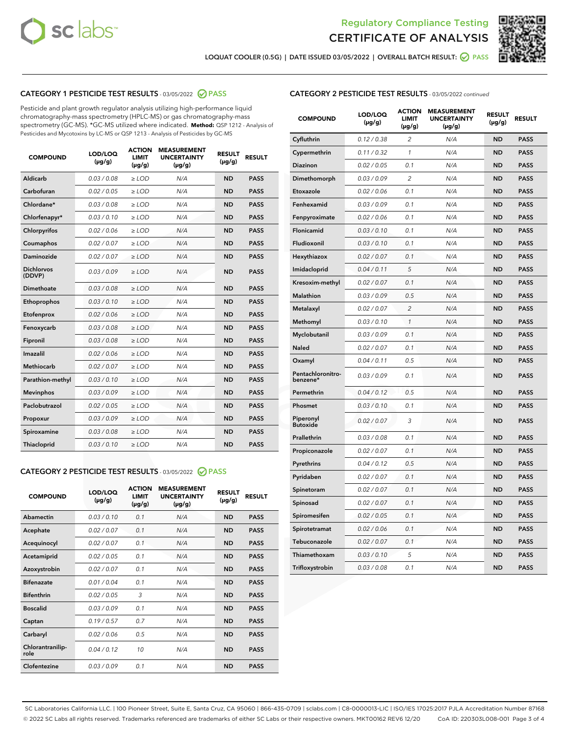



LOQUAT COOLER (0.5G) | DATE ISSUED 03/05/2022 | OVERALL BATCH RESULT: @ PASS

#### CATEGORY 1 PESTICIDE TEST RESULTS - 03/05/2022 2 PASS

Pesticide and plant growth regulator analysis utilizing high-performance liquid chromatography-mass spectrometry (HPLC-MS) or gas chromatography-mass spectrometry (GC-MS). \*GC-MS utilized where indicated. **Method:** QSP 1212 - Analysis of Pesticides and Mycotoxins by LC-MS or QSP 1213 - Analysis of Pesticides by GC-MS

| <b>COMPOUND</b>             | LOD/LOQ<br>$(\mu g/g)$ | <b>ACTION</b><br><b>LIMIT</b><br>$(\mu g/g)$ | <b>MEASUREMENT</b><br><b>UNCERTAINTY</b><br>$(\mu g/g)$ | <b>RESULT</b><br>$(\mu g/g)$ | <b>RESULT</b> |
|-----------------------------|------------------------|----------------------------------------------|---------------------------------------------------------|------------------------------|---------------|
| Aldicarb                    | 0.03 / 0.08            | $\ge$ LOD                                    | N/A                                                     | <b>ND</b>                    | <b>PASS</b>   |
| Carbofuran                  | 0.02 / 0.05            | $\ge$ LOD                                    | N/A                                                     | <b>ND</b>                    | <b>PASS</b>   |
| Chlordane*                  | 0.03 / 0.08            | $\ge$ LOD                                    | N/A                                                     | <b>ND</b>                    | <b>PASS</b>   |
| Chlorfenapyr*               | 0.03/0.10              | $\ge$ LOD                                    | N/A                                                     | <b>ND</b>                    | <b>PASS</b>   |
| Chlorpyrifos                | 0.02/0.06              | $\ge$ LOD                                    | N/A                                                     | <b>ND</b>                    | <b>PASS</b>   |
| Coumaphos                   | 0.02 / 0.07            | $\geq$ LOD                                   | N/A                                                     | <b>ND</b>                    | <b>PASS</b>   |
| Daminozide                  | 0.02 / 0.07            | $>$ LOD                                      | N/A                                                     | <b>ND</b>                    | <b>PASS</b>   |
| <b>Dichlorvos</b><br>(DDVP) | 0.03/0.09              | $\ge$ LOD                                    | N/A                                                     | <b>ND</b>                    | <b>PASS</b>   |
| Dimethoate                  | 0.03/0.08              | $>$ LOD                                      | N/A                                                     | <b>ND</b>                    | <b>PASS</b>   |
| Ethoprophos                 | 0.03/0.10              | $\ge$ LOD                                    | N/A                                                     | <b>ND</b>                    | <b>PASS</b>   |
| Etofenprox                  | 0.02 / 0.06            | $\geq$ LOD                                   | N/A                                                     | <b>ND</b>                    | <b>PASS</b>   |
| Fenoxycarb                  | 0.03/0.08              | $>$ LOD                                      | N/A                                                     | <b>ND</b>                    | <b>PASS</b>   |
| Fipronil                    | 0.03 / 0.08            | $\ge$ LOD                                    | N/A                                                     | <b>ND</b>                    | <b>PASS</b>   |
| Imazalil                    | 0.02 / 0.06            | $>$ LOD                                      | N/A                                                     | <b>ND</b>                    | <b>PASS</b>   |
| <b>Methiocarb</b>           | 0.02 / 0.07            | $\ge$ LOD                                    | N/A                                                     | <b>ND</b>                    | <b>PASS</b>   |
| Parathion-methyl            | 0.03/0.10              | $\geq$ LOD                                   | N/A                                                     | <b>ND</b>                    | <b>PASS</b>   |
| <b>Mevinphos</b>            | 0.03/0.09              | $\ge$ LOD                                    | N/A                                                     | <b>ND</b>                    | <b>PASS</b>   |
| Paclobutrazol               | 0.02 / 0.05            | $\ge$ LOD                                    | N/A                                                     | <b>ND</b>                    | <b>PASS</b>   |
| Propoxur                    | 0.03/0.09              | $\ge$ LOD                                    | N/A                                                     | <b>ND</b>                    | <b>PASS</b>   |
| Spiroxamine                 | 0.03 / 0.08            | $\ge$ LOD                                    | N/A                                                     | <b>ND</b>                    | <b>PASS</b>   |
| Thiacloprid                 | 0.03/0.10              | $>$ LOD                                      | N/A                                                     | <b>ND</b>                    | <b>PASS</b>   |

#### CATEGORY 2 PESTICIDE TEST RESULTS - 03/05/2022 @ PASS

| <b>COMPOUND</b>          | LOD/LOO<br>$(\mu g/g)$ | <b>ACTION</b><br>LIMIT<br>$(\mu g/g)$ | <b>MEASUREMENT</b><br><b>UNCERTAINTY</b><br>$(\mu g/g)$ | <b>RESULT</b><br>$(\mu g/g)$ | <b>RESULT</b> |  |
|--------------------------|------------------------|---------------------------------------|---------------------------------------------------------|------------------------------|---------------|--|
| Abamectin                | 0.03/0.10              | 0.1                                   | N/A                                                     | <b>ND</b>                    | <b>PASS</b>   |  |
| Acephate                 | 0.02/0.07              | 0.1                                   | N/A                                                     | <b>ND</b>                    | <b>PASS</b>   |  |
| Acequinocyl              | 0.02/0.07              | 0.1                                   | N/A                                                     | <b>ND</b>                    | <b>PASS</b>   |  |
| Acetamiprid              | 0.02 / 0.05            | 0.1                                   | N/A                                                     | <b>ND</b>                    | <b>PASS</b>   |  |
| Azoxystrobin             | 0.02/0.07              | 0.1                                   | N/A                                                     | <b>ND</b>                    | <b>PASS</b>   |  |
| <b>Bifenazate</b>        | 0.01/0.04              | 0.1                                   | N/A                                                     | <b>ND</b>                    | <b>PASS</b>   |  |
| <b>Bifenthrin</b>        | 0.02/0.05              | 3                                     | N/A                                                     | <b>ND</b>                    | <b>PASS</b>   |  |
| <b>Boscalid</b>          | 0.03/0.09              | 0.1                                   | N/A                                                     | <b>ND</b>                    | <b>PASS</b>   |  |
| Captan                   | 0.19/0.57              | 0.7                                   | N/A                                                     | <b>ND</b>                    | <b>PASS</b>   |  |
| Carbaryl                 | 0.02/0.06              | 0.5                                   | N/A                                                     | <b>ND</b>                    | <b>PASS</b>   |  |
| Chlorantranilip-<br>role | 0.04/0.12              | 10                                    | N/A                                                     | <b>ND</b>                    | <b>PASS</b>   |  |
| Clofentezine             | 0.03/0.09              | 0.1                                   | N/A                                                     | <b>ND</b>                    | <b>PASS</b>   |  |

#### CATEGORY 2 PESTICIDE TEST RESULTS - 03/05/2022 continued

| <b>COMPOUND</b>               | LOD/LOQ<br>(µg/g) | <b>ACTION</b><br><b>LIMIT</b><br>$(\mu g/g)$ | <b>MEASUREMENT</b><br><b>UNCERTAINTY</b><br>$(\mu g/g)$ | <b>RESULT</b><br>(µg/g) | <b>RESULT</b> |
|-------------------------------|-------------------|----------------------------------------------|---------------------------------------------------------|-------------------------|---------------|
| Cyfluthrin                    | 0.12 / 0.38       | $\overline{c}$                               | N/A                                                     | <b>ND</b>               | <b>PASS</b>   |
| Cypermethrin                  | 0.11 / 0.32       | 1                                            | N/A                                                     | <b>ND</b>               | <b>PASS</b>   |
| <b>Diazinon</b>               | 0.02 / 0.05       | 0.1                                          | N/A                                                     | <b>ND</b>               | <b>PASS</b>   |
| Dimethomorph                  | 0.03 / 0.09       | 2                                            | N/A                                                     | <b>ND</b>               | <b>PASS</b>   |
| Etoxazole                     | 0.02 / 0.06       | 0.1                                          | N/A                                                     | <b>ND</b>               | <b>PASS</b>   |
| Fenhexamid                    | 0.03 / 0.09       | 0.1                                          | N/A                                                     | <b>ND</b>               | <b>PASS</b>   |
| Fenpyroximate                 | 0.02 / 0.06       | 0.1                                          | N/A                                                     | <b>ND</b>               | <b>PASS</b>   |
| Flonicamid                    | 0.03 / 0.10       | 0.1                                          | N/A                                                     | <b>ND</b>               | <b>PASS</b>   |
| Fludioxonil                   | 0.03 / 0.10       | 0.1                                          | N/A                                                     | <b>ND</b>               | <b>PASS</b>   |
| Hexythiazox                   | 0.02 / 0.07       | 0.1                                          | N/A                                                     | <b>ND</b>               | <b>PASS</b>   |
| Imidacloprid                  | 0.04 / 0.11       | 5                                            | N/A                                                     | <b>ND</b>               | <b>PASS</b>   |
| Kresoxim-methyl               | 0.02 / 0.07       | 0.1                                          | N/A                                                     | <b>ND</b>               | <b>PASS</b>   |
| Malathion                     | 0.03 / 0.09       | 0.5                                          | N/A                                                     | <b>ND</b>               | <b>PASS</b>   |
| Metalaxyl                     | 0.02 / 0.07       | $\overline{c}$                               | N/A                                                     | <b>ND</b>               | <b>PASS</b>   |
| Methomyl                      | 0.03 / 0.10       | 1                                            | N/A                                                     | <b>ND</b>               | <b>PASS</b>   |
| Myclobutanil                  | 0.03 / 0.09       | 0.1                                          | N/A                                                     | <b>ND</b>               | <b>PASS</b>   |
| Naled                         | 0.02 / 0.07       | 0.1                                          | N/A                                                     | <b>ND</b>               | <b>PASS</b>   |
| Oxamyl                        | 0.04 / 0.11       | 0.5                                          | N/A                                                     | <b>ND</b>               | <b>PASS</b>   |
| Pentachloronitro-<br>benzene* | 0.03 / 0.09       | 0.1                                          | N/A                                                     | <b>ND</b>               | <b>PASS</b>   |
| Permethrin                    | 0.04 / 0.12       | 0.5                                          | N/A                                                     | <b>ND</b>               | <b>PASS</b>   |
| Phosmet                       | 0.03 / 0.10       | 0.1                                          | N/A                                                     | <b>ND</b>               | <b>PASS</b>   |
| Piperonyl<br><b>Butoxide</b>  | 0.02 / 0.07       | 3                                            | N/A                                                     | <b>ND</b>               | <b>PASS</b>   |
| Prallethrin                   | 0.03 / 0.08       | 0.1                                          | N/A                                                     | <b>ND</b>               | <b>PASS</b>   |
| Propiconazole                 | 0.02 / 0.07       | 0.1                                          | N/A                                                     | <b>ND</b>               | <b>PASS</b>   |
| Pyrethrins                    | 0.04 / 0.12       | 0.5                                          | N/A                                                     | <b>ND</b>               | <b>PASS</b>   |
| Pyridaben                     | 0.02 / 0.07       | 0.1                                          | N/A                                                     | <b>ND</b>               | <b>PASS</b>   |
| Spinetoram                    | 0.02 / 0.07       | 0.1                                          | N/A                                                     | <b>ND</b>               | <b>PASS</b>   |
| Spinosad                      | 0.02 / 0.07       | 0.1                                          | N/A                                                     | <b>ND</b>               | <b>PASS</b>   |
| Spiromesifen                  | 0.02 / 0.05       | 0.1                                          | N/A                                                     | <b>ND</b>               | <b>PASS</b>   |
| Spirotetramat                 | 0.02 / 0.06       | 0.1                                          | N/A                                                     | <b>ND</b>               | <b>PASS</b>   |
| Tebuconazole                  | 0.02 / 0.07       | 0.1                                          | N/A                                                     | <b>ND</b>               | <b>PASS</b>   |
| Thiamethoxam                  | 0.03 / 0.10       | 5                                            | N/A                                                     | <b>ND</b>               | <b>PASS</b>   |
| Trifloxystrobin               | 0.03 / 0.08       | 0.1                                          | N/A                                                     | <b>ND</b>               | <b>PASS</b>   |

SC Laboratories California LLC. | 100 Pioneer Street, Suite E, Santa Cruz, CA 95060 | 866-435-0709 | sclabs.com | C8-0000013-LIC | ISO/IES 17025:2017 PJLA Accreditation Number 87168 © 2022 SC Labs all rights reserved. Trademarks referenced are trademarks of either SC Labs or their respective owners. MKT00162 REV6 12/20 CoA ID: 220303L008-001 Page 3 of 4